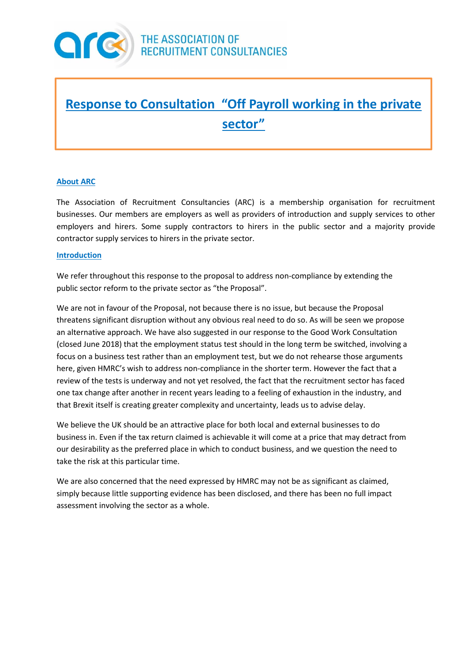

# **Response to Consultation "Off Payroll working in the private sector"**

## **About ARC**

The Association of Recruitment Consultancies (ARC) is a membership organisation for recruitment businesses. Our members are employers as well as providers of introduction and supply services to other employers and hirers. Some supply contractors to hirers in the public sector and a majority provide contractor supply services to hirers in the private sector.

### **Introduction**

We refer throughout this response to the proposal to address non-compliance by extending the public sector reform to the private sector as "the Proposal".

We are not in favour of the Proposal, not because there is no issue, but because the Proposal threatens significant disruption without any obvious real need to do so. As will be seen we propose an alternative approach. We have also suggested in our response to the Good Work Consultation (closed June 2018) that the employment status test should in the long term be switched, involving a focus on a business test rather than an employment test, but we do not rehearse those arguments here, given HMRC's wish to address non-compliance in the shorter term. However the fact that a review of the tests is underway and not yet resolved, the fact that the recruitment sector has faced one tax change after another in recent years leading to a feeling of exhaustion in the industry, and that Brexit itself is creating greater complexity and uncertainty, leads us to advise delay.

We believe the UK should be an attractive place for both local and external businesses to do business in. Even if the tax return claimed is achievable it will come at a price that may detract from our desirability as the preferred place in which to conduct business, and we question the need to take the risk at this particular time.

We are also concerned that the need expressed by HMRC may not be as significant as claimed, simply because little supporting evidence has been disclosed, and there has been no full impact assessment involving the sector as a whole.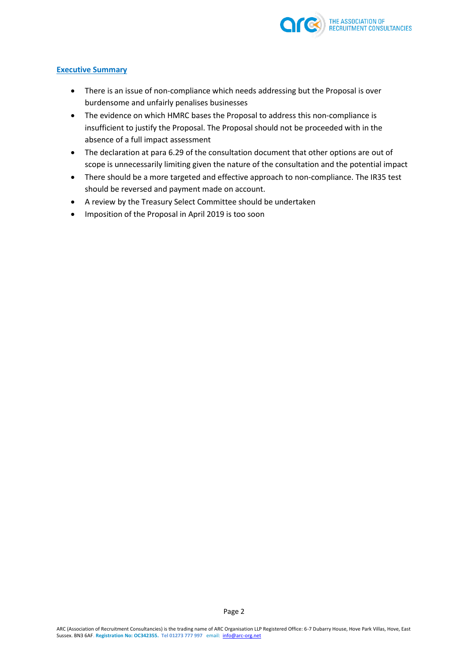

## **Executive Summary**

- There is an issue of non-compliance which needs addressing but the Proposal is over burdensome and unfairly penalises businesses
- The evidence on which HMRC bases the Proposal to address this non-compliance is insufficient to justify the Proposal. The Proposal should not be proceeded with in the absence of a full impact assessment
- The declaration at para 6.29 of the consultation document that other options are out of scope is unnecessarily limiting given the nature of the consultation and the potential impact
- There should be a more targeted and effective approach to non-compliance. The IR35 test should be reversed and payment made on account.
- A review by the Treasury Select Committee should be undertaken
- Imposition of the Proposal in April 2019 is too soon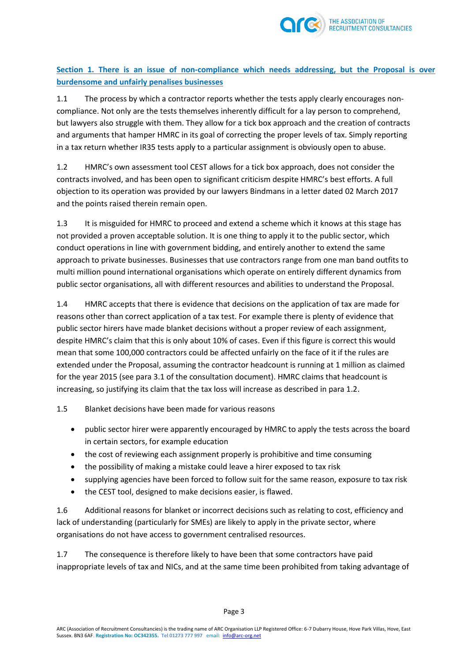

**Section 1. There is an issue of non-compliance which needs addressing, but the Proposal is over burdensome and unfairly penalises businesses**

1.1 The process by which a contractor reports whether the tests apply clearly encourages noncompliance. Not only are the tests themselves inherently difficult for a lay person to comprehend, but lawyers also struggle with them. They allow for a tick box approach and the creation of contracts and arguments that hamper HMRC in its goal of correcting the proper levels of tax. Simply reporting in a tax return whether IR35 tests apply to a particular assignment is obviously open to abuse.

1.2 HMRC's own assessment tool CEST allows for a tick box approach, does not consider the contracts involved, and has been open to significant criticism despite HMRC's best efforts. A full objection to its operation was provided by our lawyers Bindmans in a letter dated 02 March 2017 and the points raised therein remain open.

1.3 It is misguided for HMRC to proceed and extend a scheme which it knows at this stage has not provided a proven acceptable solution. It is one thing to apply it to the public sector, which conduct operations in line with government bidding, and entirely another to extend the same approach to private businesses. Businesses that use contractors range from one man band outfits to multi million pound international organisations which operate on entirely different dynamics from public sector organisations, all with different resources and abilities to understand the Proposal.

1.4 HMRC accepts that there is evidence that decisions on the application of tax are made for reasons other than correct application of a tax test. For example there is plenty of evidence that public sector hirers have made blanket decisions without a proper review of each assignment, despite HMRC's claim that this is only about 10% of cases. Even if this figure is correct this would mean that some 100,000 contractors could be affected unfairly on the face of it if the rules are extended under the Proposal, assuming the contractor headcount is running at 1 million as claimed for the year 2015 (see para 3.1 of the consultation document). HMRC claims that headcount is increasing, so justifying its claim that the tax loss will increase as described in para 1.2.

1.5 Blanket decisions have been made for various reasons

- public sector hirer were apparently encouraged by HMRC to apply the tests across the board in certain sectors, for example education
- the cost of reviewing each assignment properly is prohibitive and time consuming
- the possibility of making a mistake could leave a hirer exposed to tax risk
- supplying agencies have been forced to follow suit for the same reason, exposure to tax risk
- the CEST tool, designed to make decisions easier, is flawed.

1.6 Additional reasons for blanket or incorrect decisions such as relating to cost, efficiency and lack of understanding (particularly for SMEs) are likely to apply in the private sector, where organisations do not have access to government centralised resources.

1.7 The consequence is therefore likely to have been that some contractors have paid inappropriate levels of tax and NICs, and at the same time been prohibited from taking advantage of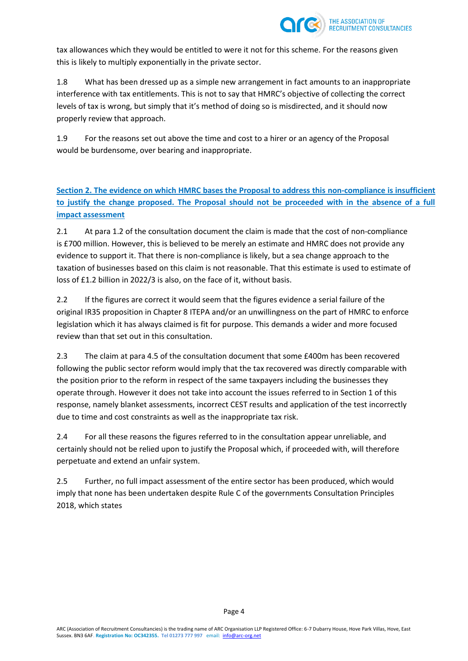

tax allowances which they would be entitled to were it not for this scheme. For the reasons given this is likely to multiply exponentially in the private sector.

1.8 What has been dressed up as a simple new arrangement in fact amounts to an inappropriate interference with tax entitlements. This is not to say that HMRC's objective of collecting the correct levels of tax is wrong, but simply that it's method of doing so is misdirected, and it should now properly review that approach.

1.9 For the reasons set out above the time and cost to a hirer or an agency of the Proposal would be burdensome, over bearing and inappropriate.

**Section 2. The evidence on which HMRC bases the Proposal to address this non-compliance is insufficient to justify the change proposed. The Proposal should not be proceeded with in the absence of a full impact assessment** 

2.1 At para 1.2 of the consultation document the claim is made that the cost of non-compliance is £700 million. However, this is believed to be merely an estimate and HMRC does not provide any evidence to support it. That there is non-compliance is likely, but a sea change approach to the taxation of businesses based on this claim is not reasonable. That this estimate is used to estimate of loss of £1.2 billion in 2022/3 is also, on the face of it, without basis.

2.2 If the figures are correct it would seem that the figures evidence a serial failure of the original IR35 proposition in Chapter 8 ITEPA and/or an unwillingness on the part of HMRC to enforce legislation which it has always claimed is fit for purpose. This demands a wider and more focused review than that set out in this consultation.

2.3 The claim at para 4.5 of the consultation document that some £400m has been recovered following the public sector reform would imply that the tax recovered was directly comparable with the position prior to the reform in respect of the same taxpayers including the businesses they operate through. However it does not take into account the issues referred to in Section 1 of this response, namely blanket assessments, incorrect CEST results and application of the test incorrectly due to time and cost constraints as well as the inappropriate tax risk.

2.4 For all these reasons the figures referred to in the consultation appear unreliable, and certainly should not be relied upon to justify the Proposal which, if proceeded with, will therefore perpetuate and extend an unfair system.

2.5 Further, no full impact assessment of the entire sector has been produced, which would imply that none has been undertaken despite Rule C of the governments Consultation Principles 2018, which states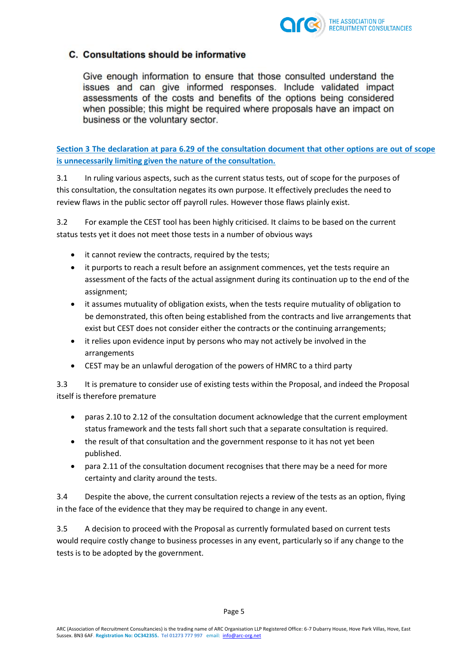

# C. Consultations should be informative

Give enough information to ensure that those consulted understand the issues and can give informed responses. Include validated impact assessments of the costs and benefits of the options being considered when possible; this might be required where proposals have an impact on business or the voluntary sector.

**Section 3 The declaration at para 6.29 of the consultation document that other options are out of scope is unnecessarily limiting given the nature of the consultation.**

3.1 In ruling various aspects, such as the current status tests, out of scope for the purposes of this consultation, the consultation negates its own purpose. It effectively precludes the need to review flaws in the public sector off payroll rules. However those flaws plainly exist.

3.2 For example the CEST tool has been highly criticised. It claims to be based on the current status tests yet it does not meet those tests in a number of obvious ways

- it cannot review the contracts, required by the tests;
- it purports to reach a result before an assignment commences, yet the tests require an assessment of the facts of the actual assignment during its continuation up to the end of the assignment;
- it assumes mutuality of obligation exists, when the tests require mutuality of obligation to be demonstrated, this often being established from the contracts and live arrangements that exist but CEST does not consider either the contracts or the continuing arrangements;
- it relies upon evidence input by persons who may not actively be involved in the arrangements
- CEST may be an unlawful derogation of the powers of HMRC to a third party

3.3 It is premature to consider use of existing tests within the Proposal, and indeed the Proposal itself is therefore premature

- paras 2.10 to 2.12 of the consultation document acknowledge that the current employment status framework and the tests fall short such that a separate consultation is required.
- the result of that consultation and the government response to it has not yet been published.
- para 2.11 of the consultation document recognises that there may be a need for more certainty and clarity around the tests.

3.4 Despite the above, the current consultation rejects a review of the tests as an option, flying in the face of the evidence that they may be required to change in any event.

3.5 A decision to proceed with the Proposal as currently formulated based on current tests would require costly change to business processes in any event, particularly so if any change to the tests is to be adopted by the government.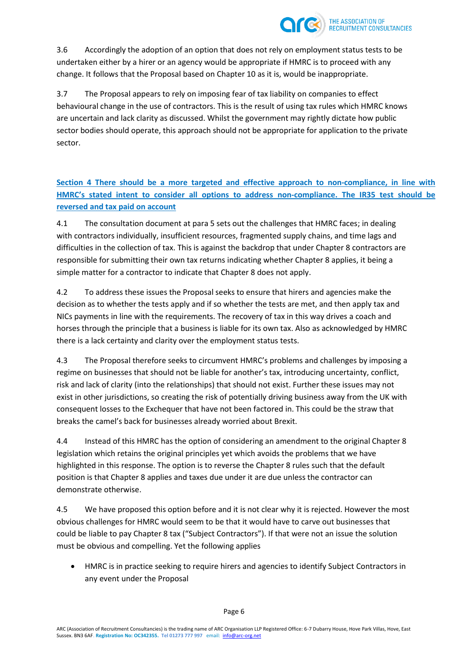

3.6 Accordingly the adoption of an option that does not rely on employment status tests to be undertaken either by a hirer or an agency would be appropriate if HMRC is to proceed with any change. It follows that the Proposal based on Chapter 10 as it is, would be inappropriate.

3.7 The Proposal appears to rely on imposing fear of tax liability on companies to effect behavioural change in the use of contractors. This is the result of using tax rules which HMRC knows are uncertain and lack clarity as discussed. Whilst the government may rightly dictate how public sector bodies should operate, this approach should not be appropriate for application to the private sector.

**Section 4 There should be a more targeted and effective approach to non-compliance, in line with HMRC's stated intent to consider all options to address non-compliance. The IR35 test should be reversed and tax paid on account** 

4.1 The consultation document at para 5 sets out the challenges that HMRC faces; in dealing with contractors individually, insufficient resources, fragmented supply chains, and time lags and difficulties in the collection of tax. This is against the backdrop that under Chapter 8 contractors are responsible for submitting their own tax returns indicating whether Chapter 8 applies, it being a simple matter for a contractor to indicate that Chapter 8 does not apply.

4.2 To address these issues the Proposal seeks to ensure that hirers and agencies make the decision as to whether the tests apply and if so whether the tests are met, and then apply tax and NICs payments in line with the requirements. The recovery of tax in this way drives a coach and horses through the principle that a business is liable for its own tax. Also as acknowledged by HMRC there is a lack certainty and clarity over the employment status tests.

4.3 The Proposal therefore seeks to circumvent HMRC's problems and challenges by imposing a regime on businesses that should not be liable for another's tax, introducing uncertainty, conflict, risk and lack of clarity (into the relationships) that should not exist. Further these issues may not exist in other jurisdictions, so creating the risk of potentially driving business away from the UK with consequent losses to the Exchequer that have not been factored in. This could be the straw that breaks the camel's back for businesses already worried about Brexit.

4.4 Instead of this HMRC has the option of considering an amendment to the original Chapter 8 legislation which retains the original principles yet which avoids the problems that we have highlighted in this response. The option is to reverse the Chapter 8 rules such that the default position is that Chapter 8 applies and taxes due under it are due unless the contractor can demonstrate otherwise.

4.5 We have proposed this option before and it is not clear why it is rejected. However the most obvious challenges for HMRC would seem to be that it would have to carve out businesses that could be liable to pay Chapter 8 tax ("Subject Contractors"). If that were not an issue the solution must be obvious and compelling. Yet the following applies

 HMRC is in practice seeking to require hirers and agencies to identify Subject Contractors in any event under the Proposal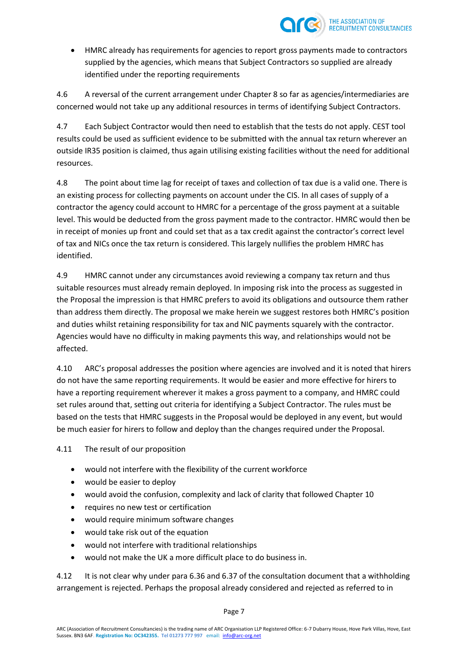

 HMRC already has requirements for agencies to report gross payments made to contractors supplied by the agencies, which means that Subject Contractors so supplied are already identified under the reporting requirements

4.6 A reversal of the current arrangement under Chapter 8 so far as agencies/intermediaries are concerned would not take up any additional resources in terms of identifying Subject Contractors.

4.7 Each Subject Contractor would then need to establish that the tests do not apply. CEST tool results could be used as sufficient evidence to be submitted with the annual tax return wherever an outside IR35 position is claimed, thus again utilising existing facilities without the need for additional resources.

4.8 The point about time lag for receipt of taxes and collection of tax due is a valid one. There is an existing process for collecting payments on account under the CIS. In all cases of supply of a contractor the agency could account to HMRC for a percentage of the gross payment at a suitable level. This would be deducted from the gross payment made to the contractor. HMRC would then be in receipt of monies up front and could set that as a tax credit against the contractor's correct level of tax and NICs once the tax return is considered. This largely nullifies the problem HMRC has identified.

4.9 HMRC cannot under any circumstances avoid reviewing a company tax return and thus suitable resources must already remain deployed. In imposing risk into the process as suggested in the Proposal the impression is that HMRC prefers to avoid its obligations and outsource them rather than address them directly. The proposal we make herein we suggest restores both HMRC's position and duties whilst retaining responsibility for tax and NIC payments squarely with the contractor. Agencies would have no difficulty in making payments this way, and relationships would not be affected.

4.10 ARC's proposal addresses the position where agencies are involved and it is noted that hirers do not have the same reporting requirements. It would be easier and more effective for hirers to have a reporting requirement wherever it makes a gross payment to a company, and HMRC could set rules around that, setting out criteria for identifying a Subject Contractor. The rules must be based on the tests that HMRC suggests in the Proposal would be deployed in any event, but would be much easier for hirers to follow and deploy than the changes required under the Proposal.

4.11 The result of our proposition

- would not interfere with the flexibility of the current workforce
- would be easier to deploy
- would avoid the confusion, complexity and lack of clarity that followed Chapter 10
- requires no new test or certification
- would require minimum software changes
- would take risk out of the equation
- would not interfere with traditional relationships
- would not make the UK a more difficult place to do business in.

4.12 It is not clear why under para 6.36 and 6.37 of the consultation document that a withholding arrangement is rejected. Perhaps the proposal already considered and rejected as referred to in

Page 7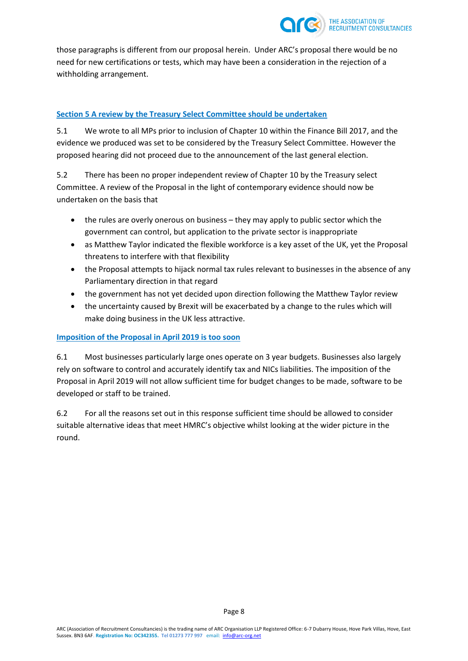

those paragraphs is different from our proposal herein. Under ARC's proposal there would be no need for new certifications or tests, which may have been a consideration in the rejection of a withholding arrangement.

## **Section 5 A review by the Treasury Select Committee should be undertaken**

5.1 We wrote to all MPs prior to inclusion of Chapter 10 within the Finance Bill 2017, and the evidence we produced was set to be considered by the Treasury Select Committee. However the proposed hearing did not proceed due to the announcement of the last general election.

5.2 There has been no proper independent review of Chapter 10 by the Treasury select Committee. A review of the Proposal in the light of contemporary evidence should now be undertaken on the basis that

- the rules are overly onerous on business they may apply to public sector which the government can control, but application to the private sector is inappropriate
- as Matthew Taylor indicated the flexible workforce is a key asset of the UK, yet the Proposal threatens to interfere with that flexibility
- the Proposal attempts to hijack normal tax rules relevant to businesses in the absence of any Parliamentary direction in that regard
- the government has not yet decided upon direction following the Matthew Taylor review
- the uncertainty caused by Brexit will be exacerbated by a change to the rules which will make doing business in the UK less attractive.

## **Imposition of the Proposal in April 2019 is too soon**

6.1 Most businesses particularly large ones operate on 3 year budgets. Businesses also largely rely on software to control and accurately identify tax and NICs liabilities. The imposition of the Proposal in April 2019 will not allow sufficient time for budget changes to be made, software to be developed or staff to be trained.

6.2 For all the reasons set out in this response sufficient time should be allowed to consider suitable alternative ideas that meet HMRC's objective whilst looking at the wider picture in the round.